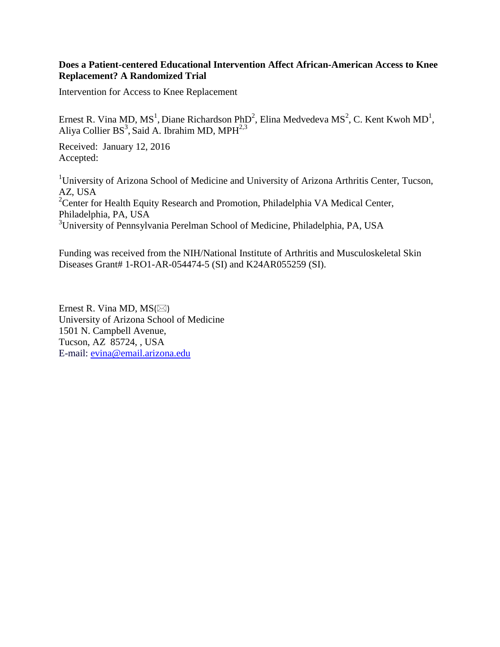# **Does a Patient-centered Educational Intervention Affect African-American Access to Knee Replacement? A Randomized Trial**

Intervention for Access to Knee Replacement

Ernest R. Vina MD, MS<sup>1</sup>, Diane Richardson PhD<sup>2</sup>, Elina Medvedeva MS<sup>2</sup>, C. Kent Kwoh MD<sup>1</sup>, Aliya Collier BS<sup>3</sup>, Said A. Ibrahim MD, MPH $^{2,3}$ 

Received: January 12, 2016 Accepted:

<sup>1</sup>University of Arizona School of Medicine and University of Arizona Arthritis Center, Tucson, AZ, USA <sup>2</sup>Center for Health Equity Research and Promotion, Philadelphia VA Medical Center, Philadelphia, PA, USA <sup>3</sup>University of Pennsylvania Perelman School of Medicine, Philadelphia, PA, USA

Funding was received from the NIH/National Institute of Arthritis and Musculoskeletal Skin Diseases Grant# 1-RO1-AR-054474-5 (SI) and K24AR055259 (SI).

Ernest R. Vina MD,  $MS(\boxtimes)$ University of Arizona School of Medicine 1501 N. Campbell Avenue, Tucson, AZ 85724, , USA E-mail: [evina@email.arizona.edu](mailto:evina@email.arizona.edu)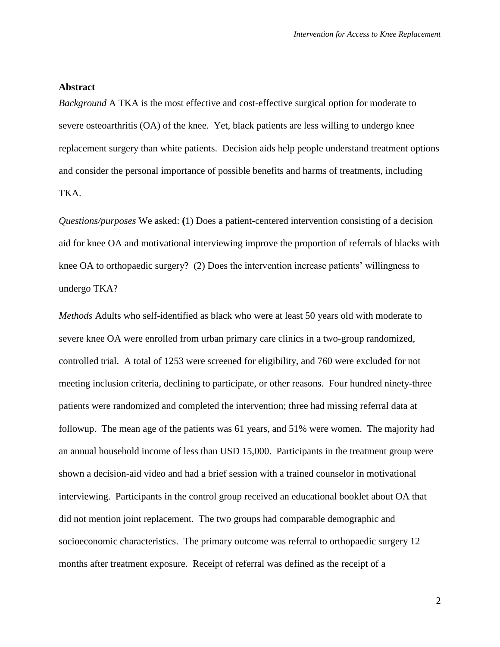## **Abstract**

*Background* A TKA is the most effective and cost-effective surgical option for moderate to severe osteoarthritis (OA) of the knee. Yet, black patients are less willing to undergo knee replacement surgery than white patients. Decision aids help people understand treatment options and consider the personal importance of possible benefits and harms of treatments, including TKA.

*Questions/purposes* We asked: **(**1) Does a patient-centered intervention consisting of a decision aid for knee OA and motivational interviewing improve the proportion of referrals of blacks with knee OA to orthopaedic surgery? (2) Does the intervention increase patients' willingness to undergo TKA?

*Methods* Adults who self-identified as black who were at least 50 years old with moderate to severe knee OA were enrolled from urban primary care clinics in a two-group randomized, controlled trial. A total of 1253 were screened for eligibility, and 760 were excluded for not meeting inclusion criteria, declining to participate, or other reasons. Four hundred ninety-three patients were randomized and completed the intervention; three had missing referral data at followup. The mean age of the patients was 61 years, and 51% were women. The majority had an annual household income of less than USD 15,000. Participants in the treatment group were shown a decision-aid video and had a brief session with a trained counselor in motivational interviewing. Participants in the control group received an educational booklet about OA that did not mention joint replacement. The two groups had comparable demographic and socioeconomic characteristics. The primary outcome was referral to orthopaedic surgery 12 months after treatment exposure. Receipt of referral was defined as the receipt of a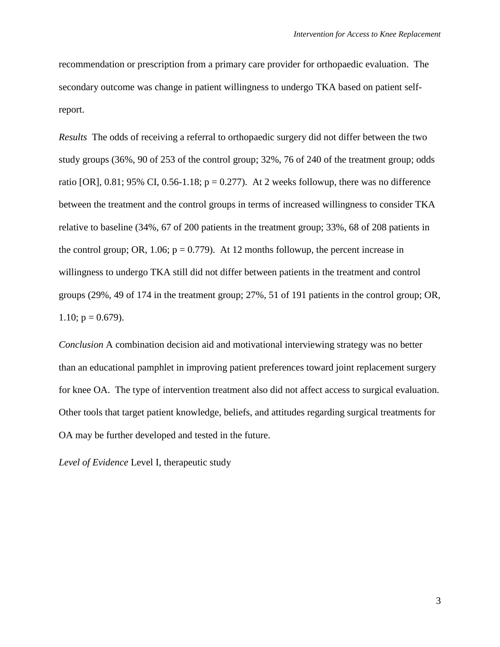recommendation or prescription from a primary care provider for orthopaedic evaluation. The secondary outcome was change in patient willingness to undergo TKA based on patient selfreport.

*Results* The odds of receiving a referral to orthopaedic surgery did not differ between the two study groups (36%, 90 of 253 of the control group; 32%, 76 of 240 of the treatment group; odds ratio [OR], 0.81; 95% CI, 0.56-1.18;  $p = 0.277$ ). At 2 weeks followup, there was no difference between the treatment and the control groups in terms of increased willingness to consider TKA relative to baseline (34%, 67 of 200 patients in the treatment group; 33%, 68 of 208 patients in the control group; OR, 1.06;  $p = 0.779$ ). At 12 months followup, the percent increase in willingness to undergo TKA still did not differ between patients in the treatment and control groups (29%, 49 of 174 in the treatment group; 27%, 51 of 191 patients in the control group; OR, 1.10;  $p = 0.679$ ).

*Conclusion* A combination decision aid and motivational interviewing strategy was no better than an educational pamphlet in improving patient preferences toward joint replacement surgery for knee OA. The type of intervention treatment also did not affect access to surgical evaluation. Other tools that target patient knowledge, beliefs, and attitudes regarding surgical treatments for OA may be further developed and tested in the future.

*Level of Evidence* Level I, therapeutic study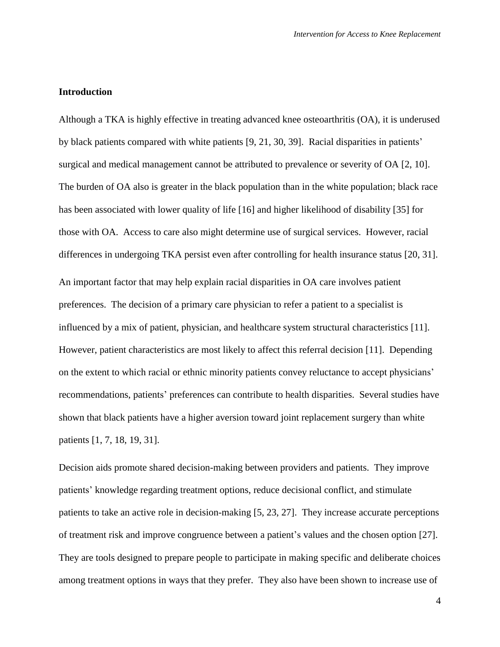#### **Introduction**

Although a TKA is highly effective in treating advanced knee osteoarthritis (OA), it is underused by black patients compared with white patients [\[9,](#page-17-0) [21,](#page-18-0) [30,](#page-19-0) [39\]](#page-20-0). Racial disparities in patients' surgical and medical management cannot be attributed to prevalence or severity of OA [\[2,](#page-16-0) [10\]](#page-17-1). The burden of OA also is greater in the black population than in the white population; black race has been associated with lower quality of life [\[16\]](#page-18-1) and higher likelihood of disability [\[35\]](#page-20-1) for those with OA. Access to care also might determine use of surgical services. However, racial differences in undergoing TKA persist even after controlling for health insurance status [\[20,](#page-18-2) [31\]](#page-20-2). An important factor that may help explain racial disparities in OA care involves patient preferences. The decision of a primary care physician to refer a patient to a specialist is influenced by a mix of patient, physician, and healthcare system structural characteristics [\[11\]](#page-17-2). However, patient characteristics are most likely to affect this referral decision [\[11\]](#page-17-2). Depending on the extent to which racial or ethnic minority patients convey reluctance to accept physicians' recommendations, patients' preferences can contribute to health disparities. Several studies have shown that black patients have a higher aversion toward joint replacement surgery than white patients [\[1,](#page-16-1) [7,](#page-17-3) [18,](#page-18-3) [19,](#page-18-4) [31\]](#page-20-2).

Decision aids promote shared decision-making between providers and patients. They improve patients' knowledge regarding treatment options, reduce decisional conflict, and stimulate patients to take an active role in decision-making [\[5,](#page-16-2) [23,](#page-19-1) [27\]](#page-19-2). They increase accurate perceptions of treatment risk and improve congruence between a patient's values and the chosen option [\[27\]](#page-19-2). They are tools designed to prepare people to participate in making specific and deliberate choices among treatment options in ways that they prefer. They also have been shown to increase use of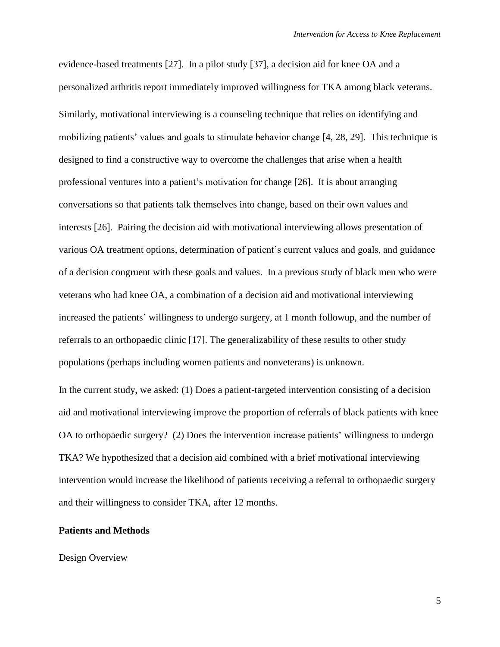evidence-based treatments [\[27\]](#page-19-2). In a pilot study [\[37\]](#page-20-3), a decision aid for knee OA and a personalized arthritis report immediately improved willingness for TKA among black veterans. Similarly, motivational interviewing is a counseling technique that relies on identifying and mobilizing patients' values and goals to stimulate behavior change [\[4,](#page-16-3) [28,](#page-19-3) [29\]](#page-19-4). This technique is designed to find a constructive way to overcome the challenges that arise when a health professional ventures into a patient's motivation for change [\[26\]](#page-19-5). It is about arranging conversations so that patients talk themselves into change, based on their own values and interests [\[26\]](#page-19-5). Pairing the decision aid with motivational interviewing allows presentation of various OA treatment options, determination of patient's current values and goals, and guidance of a decision congruent with these goals and values. In a previous study of black men who were veterans who had knee OA, a combination of a decision aid and motivational interviewing increased the patients' willingness to undergo surgery, at 1 month followup, and the number of referrals to an orthopaedic clinic [\[17\]](#page-18-5). The generalizability of these results to other study populations (perhaps including women patients and nonveterans) is unknown.

In the current study, we asked: (1) Does a patient-targeted intervention consisting of a decision aid and motivational interviewing improve the proportion of referrals of black patients with knee OA to orthopaedic surgery? (2) Does the intervention increase patients' willingness to undergo TKA? We hypothesized that a decision aid combined with a brief motivational interviewing intervention would increase the likelihood of patients receiving a referral to orthopaedic surgery and their willingness to consider TKA, after 12 months.

#### **Patients and Methods**

#### Design Overview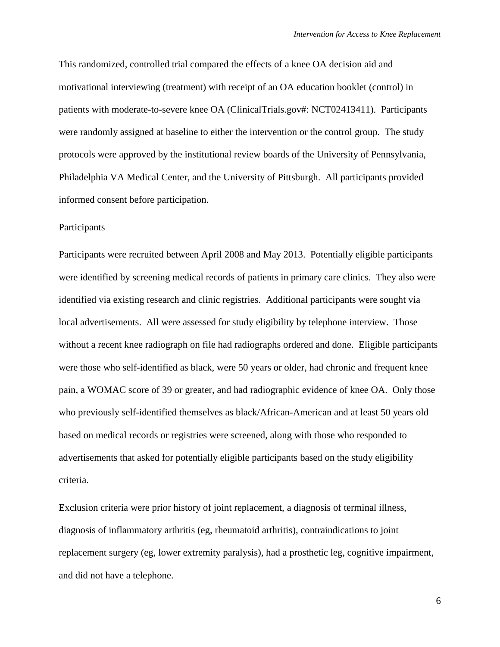This randomized, controlled trial compared the effects of a knee OA decision aid and motivational interviewing (treatment) with receipt of an OA education booklet (control) in patients with moderate-to-severe knee OA (ClinicalTrials.gov#: NCT02413411). Participants were randomly assigned at baseline to either the intervention or the control group. The study protocols were approved by the institutional review boards of the University of Pennsylvania, Philadelphia VA Medical Center, and the University of Pittsburgh. All participants provided informed consent before participation.

## Participants

Participants were recruited between April 2008 and May 2013. Potentially eligible participants were identified by screening medical records of patients in primary care clinics. They also were identified via existing research and clinic registries. Additional participants were sought via local advertisements. All were assessed for study eligibility by telephone interview. Those without a recent knee radiograph on file had radiographs ordered and done. Eligible participants were those who self-identified as black, were 50 years or older, had chronic and frequent knee pain, a WOMAC score of 39 or greater, and had radiographic evidence of knee OA. Only those who previously self-identified themselves as black/African-American and at least 50 years old based on medical records or registries were screened, along with those who responded to advertisements that asked for potentially eligible participants based on the study eligibility criteria.

Exclusion criteria were prior history of joint replacement, a diagnosis of terminal illness, diagnosis of inflammatory arthritis (eg, rheumatoid arthritis), contraindications to joint replacement surgery (eg, lower extremity paralysis), had a prosthetic leg, cognitive impairment, and did not have a telephone.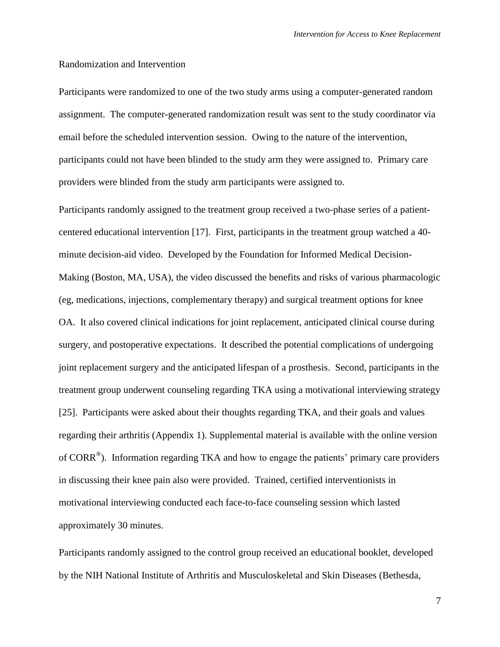#### Randomization and Intervention

Participants were randomized to one of the two study arms using a computer-generated random assignment. The computer-generated randomization result was sent to the study coordinator via email before the scheduled intervention session. Owing to the nature of the intervention, participants could not have been blinded to the study arm they were assigned to. Primary care providers were blinded from the study arm participants were assigned to.

Participants randomly assigned to the treatment group received a two-phase series of a patientcentered educational intervention [\[17\]](#page-18-5). First, participants in the treatment group watched a 40 minute decision-aid video. Developed by the Foundation for Informed Medical Decision-Making (Boston, MA, USA), the video discussed the benefits and risks of various pharmacologic (eg, medications, injections, complementary therapy) and surgical treatment options for knee OA. It also covered clinical indications for joint replacement, anticipated clinical course during surgery, and postoperative expectations. It described the potential complications of undergoing joint replacement surgery and the anticipated lifespan of a prosthesis. Second, participants in the treatment group underwent counseling regarding TKA using a motivational interviewing strategy [\[25\]](#page-19-6). Participants were asked about their thoughts regarding TKA, and their goals and values regarding their arthritis (Appendix 1). Supplemental material is available with the online version of CORR<sup>®</sup>). Information regarding TKA and how to engage the patients' primary care providers in discussing their knee pain also were provided. Trained, certified interventionists in motivational interviewing conducted each face-to-face counseling session which lasted approximately 30 minutes.

Participants randomly assigned to the control group received an educational booklet, developed by the NIH National Institute of Arthritis and Musculoskeletal and Skin Diseases (Bethesda,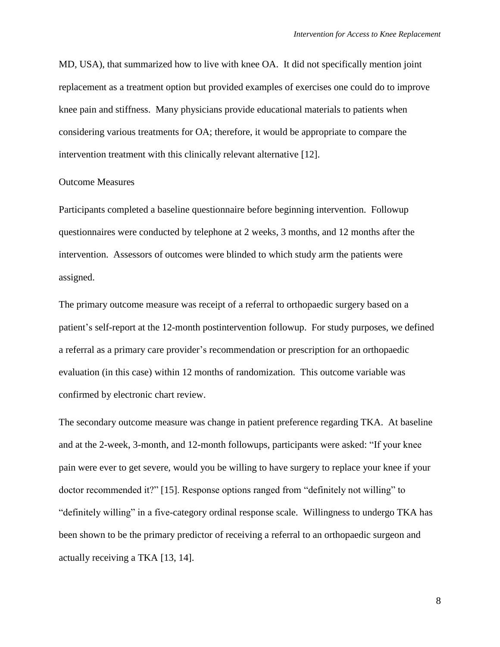MD, USA), that summarized how to live with knee OA. It did not specifically mention joint replacement as a treatment option but provided examples of exercises one could do to improve knee pain and stiffness. Many physicians provide educational materials to patients when considering various treatments for OA; therefore, it would be appropriate to compare the intervention treatment with this clinically relevant alternative [\[12\]](#page-17-4).

#### Outcome Measures

Participants completed a baseline questionnaire before beginning intervention. Followup questionnaires were conducted by telephone at 2 weeks, 3 months, and 12 months after the intervention. Assessors of outcomes were blinded to which study arm the patients were assigned.

The primary outcome measure was receipt of a referral to orthopaedic surgery based on a patient's self-report at the 12-month postintervention followup. For study purposes, we defined a referral as a primary care provider's recommendation or prescription for an orthopaedic evaluation (in this case) within 12 months of randomization. This outcome variable was confirmed by electronic chart review.

The secondary outcome measure was change in patient preference regarding TKA. At baseline and at the 2-week, 3-month, and 12-month followups, participants were asked: "If your knee pain were ever to get severe, would you be willing to have surgery to replace your knee if your doctor recommended it?" [\[15\]](#page-18-6). Response options ranged from "definitely not willing" to "definitely willing" in a five-category ordinal response scale. Willingness to undergo TKA has been shown to be the primary predictor of receiving a referral to an orthopaedic surgeon and actually receiving a TKA [\[13,](#page-17-5) [14\]](#page-17-6).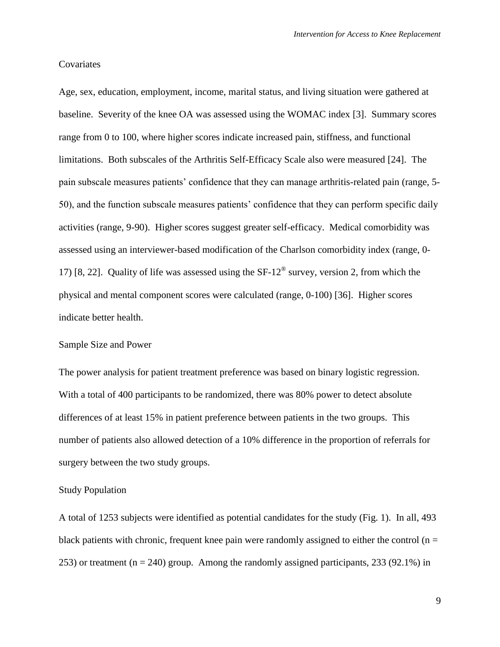# **Covariates**

Age, sex, education, employment, income, marital status, and living situation were gathered at baseline. Severity of the knee OA was assessed using the WOMAC index [\[3\]](#page-16-4). Summary scores range from 0 to 100, where higher scores indicate increased pain, stiffness, and functional limitations. Both subscales of the Arthritis Self-Efficacy Scale also were measured [\[24\]](#page-19-7). The pain subscale measures patients' confidence that they can manage arthritis-related pain (range, 5- 50), and the function subscale measures patients' confidence that they can perform specific daily activities (range, 9-90). Higher scores suggest greater self-efficacy. Medical comorbidity was assessed using an interviewer-based modification of the Charlson comorbidity index (range, 0- 17) [\[8,](#page-17-7) [22\]](#page-18-7). Quality of life was assessed using the SF-12<sup>®</sup> survey, version 2, from which the physical and mental component scores were calculated (range, 0-100) [\[36\]](#page-20-4). Higher scores indicate better health.

#### Sample Size and Power

The power analysis for patient treatment preference was based on binary logistic regression. With a total of 400 participants to be randomized, there was 80% power to detect absolute differences of at least 15% in patient preference between patients in the two groups. This number of patients also allowed detection of a 10% difference in the proportion of referrals for surgery between the two study groups.

## Study Population

A total of 1253 subjects were identified as potential candidates for the study (Fig. 1). In all, 493 black patients with chronic, frequent knee pain were randomly assigned to either the control ( $n =$ 253) or treatment ( $n = 240$ ) group. Among the randomly assigned participants, 233 (92.1%) in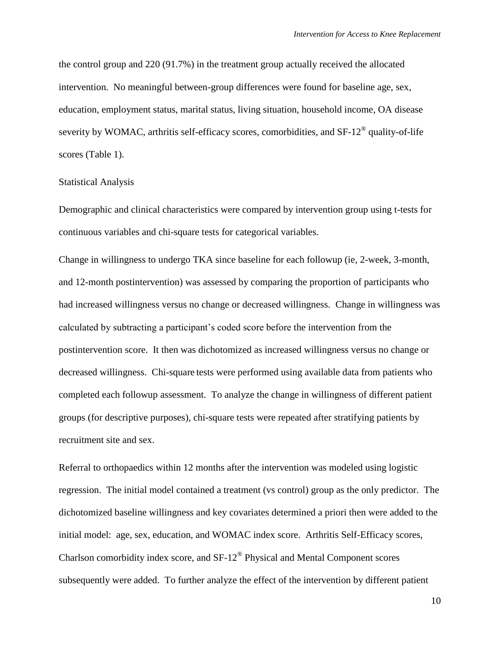the control group and 220 (91.7%) in the treatment group actually received the allocated intervention. No meaningful between-group differences were found for baseline age, sex, education, employment status, marital status, living situation, household income, OA disease severity by WOMAC, arthritis self-efficacy scores, comorbidities, and  $SF-12^\circledast$  quality-of-life scores (Table 1).

#### Statistical Analysis

Demographic and clinical characteristics were compared by intervention group using t-tests for continuous variables and chi-square tests for categorical variables.

Change in willingness to undergo TKA since baseline for each followup (ie, 2-week, 3-month, and 12-month postintervention) was assessed by comparing the proportion of participants who had increased willingness versus no change or decreased willingness. Change in willingness was calculated by subtracting a participant's coded score before the intervention from the postintervention score. It then was dichotomized as increased willingness versus no change or decreased willingness. Chi-square tests were performed using available data from patients who completed each followup assessment. To analyze the change in willingness of different patient groups (for descriptive purposes), chi-square tests were repeated after stratifying patients by recruitment site and sex.

Referral to orthopaedics within 12 months after the intervention was modeled using logistic regression. The initial model contained a treatment (vs control) group as the only predictor. The dichotomized baseline willingness and key covariates determined a priori then were added to the initial model: age, sex, education, and WOMAC index score. Arthritis Self-Efficacy scores, Charlson comorbidity index score, and  $SF-12^{\circledast}$  Physical and Mental Component scores subsequently were added. To further analyze the effect of the intervention by different patient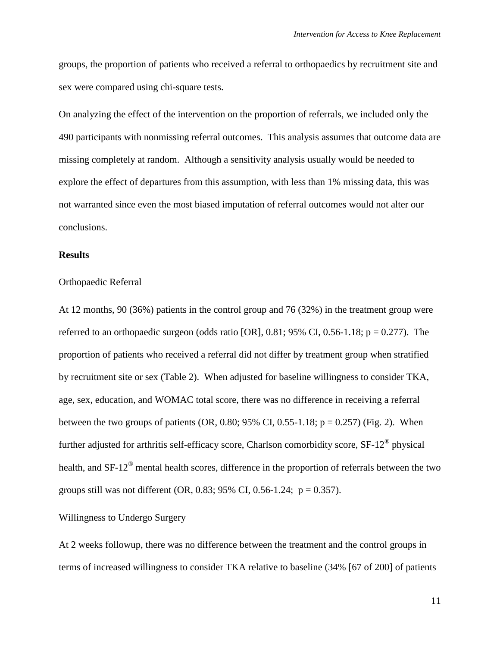groups, the proportion of patients who received a referral to orthopaedics by recruitment site and sex were compared using chi-square tests.

On analyzing the effect of the intervention on the proportion of referrals, we included only the 490 participants with nonmissing referral outcomes. This analysis assumes that outcome data are missing completely at random. Although a sensitivity analysis usually would be needed to explore the effect of departures from this assumption, with less than 1% missing data, this was not warranted since even the most biased imputation of referral outcomes would not alter our conclusions.

#### **Results**

#### Orthopaedic Referral

At 12 months, 90 (36%) patients in the control group and 76 (32%) in the treatment group were referred to an orthopaedic surgeon (odds ratio [OR],  $0.81$ ;  $95\%$  CI,  $0.56$ -1.18;  $p = 0.277$ ). The proportion of patients who received a referral did not differ by treatment group when stratified by recruitment site or sex (Table 2). When adjusted for baseline willingness to consider TKA, age, sex, education, and WOMAC total score, there was no difference in receiving a referral between the two groups of patients (OR, 0.80; 95% CI, 0.55-1.18;  $p = 0.257$ ) (Fig. 2). When further adjusted for arthritis self-efficacy score, Charlson comorbidity score,  $SF-12^\circ$  physical health, and SF-12<sup>®</sup> mental health scores, difference in the proportion of referrals between the two groups still was not different (OR, 0.83; 95% CI, 0.56-1.24;  $p = 0.357$ ).

# Willingness to Undergo Surgery

At 2 weeks followup, there was no difference between the treatment and the control groups in terms of increased willingness to consider TKA relative to baseline (34% [67 of 200] of patients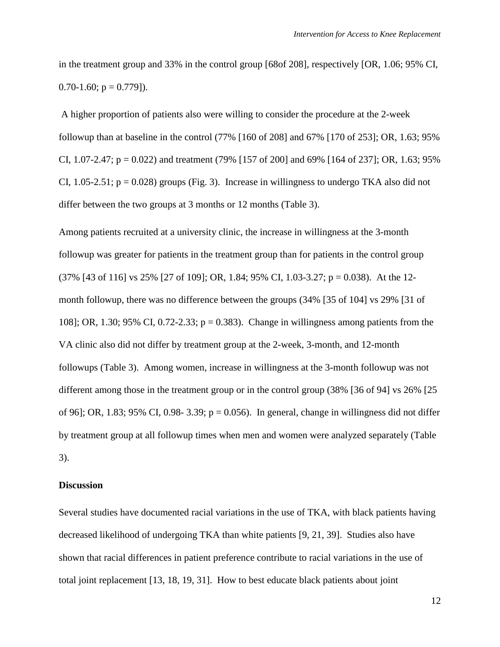in the treatment group and 33% in the control group [68of 208], respectively [OR, 1.06; 95% CI,  $0.70 - 1.60$ ;  $p = 0.779$ ]).

A higher proportion of patients also were willing to consider the procedure at the 2-week followup than at baseline in the control (77% [160 of 208] and 67% [170 of 253]; OR, 1.63; 95% CI, 1.07-2.47;  $p = 0.022$ ) and treatment (79% [157 of 200] and 69% [164 of 237]; OR, 1.63; 95% CI, 1.05-2.51;  $p = 0.028$ ) groups (Fig. 3). Increase in willingness to undergo TKA also did not differ between the two groups at 3 months or 12 months (Table 3).

Among patients recruited at a university clinic, the increase in willingness at the 3-month followup was greater for patients in the treatment group than for patients in the control group (37% [43 of 116] vs 25% [27 of 109]; OR, 1.84; 95% CI, 1.03-3.27; p = 0.038). At the 12 month followup, there was no difference between the groups (34% [35 of 104] vs 29% [31 of 108]; OR, 1.30; 95% CI, 0.72-2.33; p = 0.383). Change in willingness among patients from the VA clinic also did not differ by treatment group at the 2-week, 3-month, and 12-month followups (Table 3). Among women, increase in willingness at the 3-month followup was not different among those in the treatment group or in the control group (38% [36 of 94] vs 26% [25 of 96]; OR, 1.83; 95% CI, 0.98- 3.39;  $p = 0.056$ ). In general, change in willingness did not differ by treatment group at all followup times when men and women were analyzed separately (Table 3).

# **Discussion**

Several studies have documented racial variations in the use of TKA, with black patients having decreased likelihood of undergoing TKA than white patients [\[9,](#page-17-0) [21,](#page-18-0) [39\]](#page-20-0). Studies also have shown that racial differences in patient preference contribute to racial variations in the use of total joint replacement [\[13,](#page-17-5) [18,](#page-18-3) [19,](#page-18-4) [31\]](#page-20-2). How to best educate black patients about joint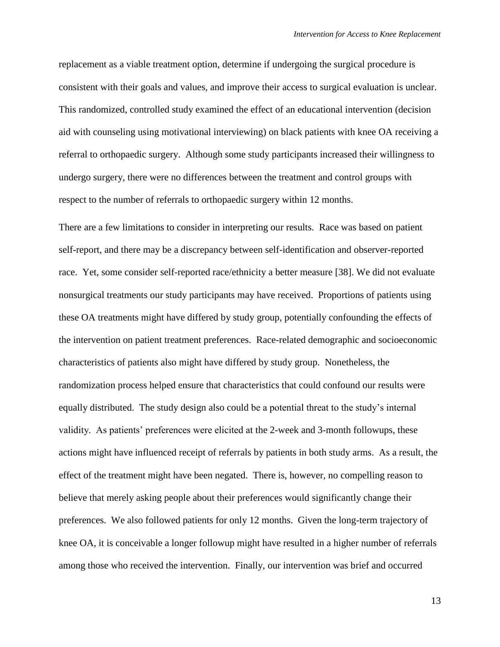replacement as a viable treatment option, determine if undergoing the surgical procedure is consistent with their goals and values, and improve their access to surgical evaluation is unclear. This randomized, controlled study examined the effect of an educational intervention (decision aid with counseling using motivational interviewing) on black patients with knee OA receiving a referral to orthopaedic surgery. Although some study participants increased their willingness to undergo surgery, there were no differences between the treatment and control groups with respect to the number of referrals to orthopaedic surgery within 12 months.

There are a few limitations to consider in interpreting our results. Race was based on patient self-report, and there may be a discrepancy between self-identification and observer-reported race. Yet, some consider self-reported race/ethnicity a better measure [\[38\]](#page-20-5). We did not evaluate nonsurgical treatments our study participants may have received. Proportions of patients using these OA treatments might have differed by study group, potentially confounding the effects of the intervention on patient treatment preferences. Race-related demographic and socioeconomic characteristics of patients also might have differed by study group. Nonetheless, the randomization process helped ensure that characteristics that could confound our results were equally distributed. The study design also could be a potential threat to the study's internal validity. As patients' preferences were elicited at the 2-week and 3-month followups, these actions might have influenced receipt of referrals by patients in both study arms. As a result, the effect of the treatment might have been negated. There is, however, no compelling reason to believe that merely asking people about their preferences would significantly change their preferences. We also followed patients for only 12 months. Given the long-term trajectory of knee OA, it is conceivable a longer followup might have resulted in a higher number of referrals among those who received the intervention. Finally, our intervention was brief and occurred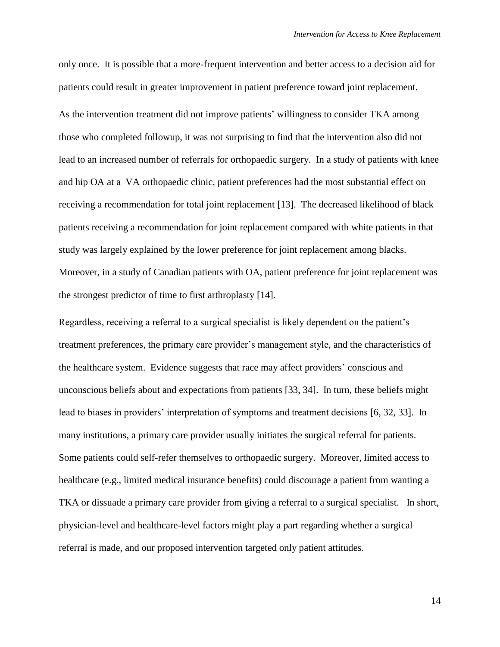only once. It is possible that a more-frequent intervention and better access to a decision aid for patients could result in greater improvement in patient preference toward joint replacement. As the intervention treatment did not improve patients' willingness to consider TKA among those who completed followup, it was not surprising to find that the intervention also did not lead to an increased number of referrals for orthopaedic surgery. In a study of patients with knee and hip OA at a VA orthopaedic clinic, patient preferences had the most substantial effect on receiving a recommendation for total joint replacement [\[13\]](#page-17-5). The decreased likelihood of black patients receiving a recommendation for joint replacement compared with white patients in that study was largely explained by the lower preference for joint replacement among blacks. Moreover, in a study of Canadian patients with OA, patient preference for joint replacement was the strongest predictor of time to first arthroplasty [\[14\]](#page-17-6).

Regardless, receiving a referral to a surgical specialist is likely dependent on the patient's treatment preferences, the primary care provider's management style, and the characteristics of the healthcare system. Evidence suggests that race may affect providers' conscious and unconscious beliefs about and expectations from patients [\[33,](#page-20-6) [34\]](#page-20-7). In turn, these beliefs might lead to biases in providers' interpretation of symptoms and treatment decisions [\[6,](#page-16-5) [32,](#page-20-8) [33\]](#page-20-6). In many institutions, a primary care provider usually initiates the surgical referral for patients. Some patients could self-refer themselves to orthopaedic surgery. Moreover, limited access to healthcare (e.g., limited medical insurance benefits) could discourage a patient from wanting a TKA or dissuade a primary care provider from giving a referral to a surgical specialist. In short, physician-level and healthcare-level factors might play a part regarding whether a surgical referral is made, and our proposed intervention targeted only patient attitudes.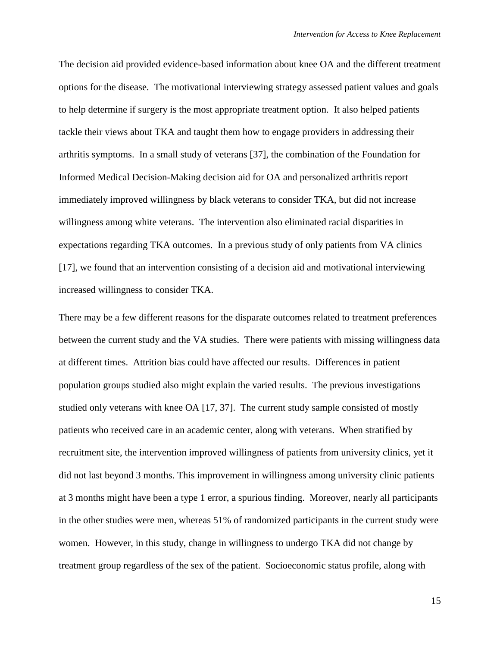The decision aid provided evidence-based information about knee OA and the different treatment options for the disease. The motivational interviewing strategy assessed patient values and goals to help determine if surgery is the most appropriate treatment option. It also helped patients tackle their views about TKA and taught them how to engage providers in addressing their arthritis symptoms. In a small study of veterans [\[37\]](#page-20-3), the combination of the Foundation for Informed Medical Decision-Making decision aid for OA and personalized arthritis report immediately improved willingness by black veterans to consider TKA, but did not increase willingness among white veterans. The intervention also eliminated racial disparities in expectations regarding TKA outcomes. In a previous study of only patients from VA clinics [\[17\]](#page-18-5), we found that an intervention consisting of a decision aid and motivational interviewing increased willingness to consider TKA.

There may be a few different reasons for the disparate outcomes related to treatment preferences between the current study and the VA studies. There were patients with missing willingness data at different times. Attrition bias could have affected our results. Differences in patient population groups studied also might explain the varied results. The previous investigations studied only veterans with knee OA [\[17,](#page-18-5) [37\]](#page-20-3). The current study sample consisted of mostly patients who received care in an academic center, along with veterans. When stratified by recruitment site, the intervention improved willingness of patients from university clinics, yet it did not last beyond 3 months. This improvement in willingness among university clinic patients at 3 months might have been a type 1 error, a spurious finding. Moreover, nearly all participants in the other studies were men, whereas 51% of randomized participants in the current study were women. However, in this study, change in willingness to undergo TKA did not change by treatment group regardless of the sex of the patient. Socioeconomic status profile, along with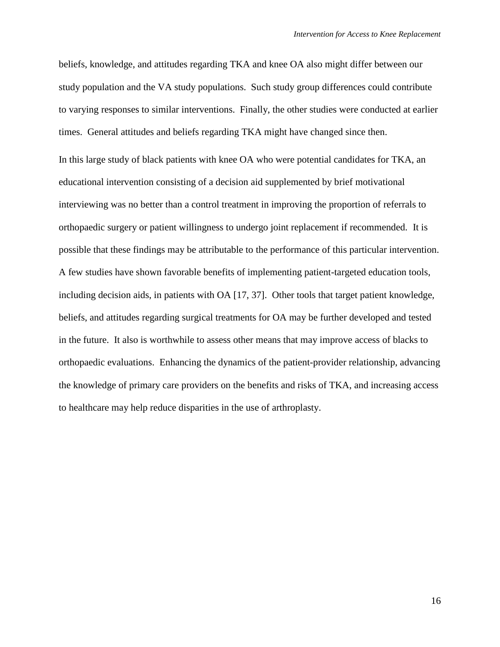beliefs, knowledge, and attitudes regarding TKA and knee OA also might differ between our study population and the VA study populations. Such study group differences could contribute to varying responses to similar interventions. Finally, the other studies were conducted at earlier times. General attitudes and beliefs regarding TKA might have changed since then.

In this large study of black patients with knee OA who were potential candidates for TKA, an educational intervention consisting of a decision aid supplemented by brief motivational interviewing was no better than a control treatment in improving the proportion of referrals to orthopaedic surgery or patient willingness to undergo joint replacement if recommended. It is possible that these findings may be attributable to the performance of this particular intervention. A few studies have shown favorable benefits of implementing patient-targeted education tools, including decision aids, in patients with OA [\[17,](#page-18-5) [37\]](#page-20-3). Other tools that target patient knowledge, beliefs, and attitudes regarding surgical treatments for OA may be further developed and tested in the future. It also is worthwhile to assess other means that may improve access of blacks to orthopaedic evaluations. Enhancing the dynamics of the patient-provider relationship, advancing the knowledge of primary care providers on the benefits and risks of TKA, and increasing access to healthcare may help reduce disparities in the use of arthroplasty.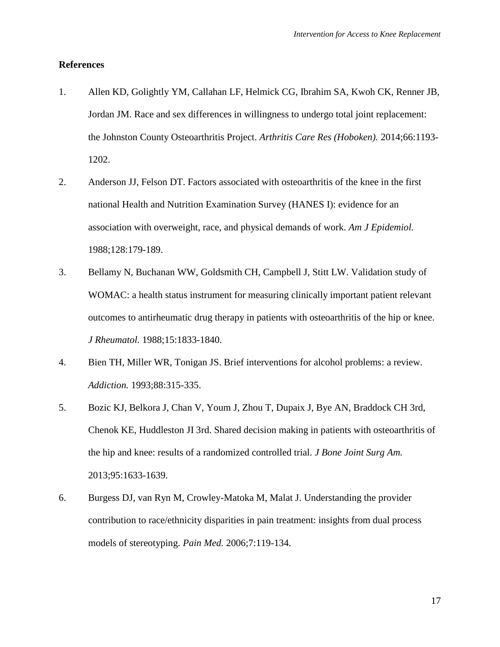## **References**

- <span id="page-16-1"></span>1. Allen KD, Golightly YM, Callahan LF, Helmick CG, Ibrahim SA, Kwoh CK, Renner JB, Jordan JM. Race and sex differences in willingness to undergo total joint replacement: the Johnston County Osteoarthritis Project. *Arthritis Care Res (Hoboken).* 2014;66:1193- 1202.
- <span id="page-16-0"></span>2. Anderson JJ, Felson DT. Factors associated with osteoarthritis of the knee in the first national Health and Nutrition Examination Survey (HANES I): evidence for an association with overweight, race, and physical demands of work. *Am J Epidemiol.*  1988;128:179-189.
- <span id="page-16-4"></span>3. Bellamy N, Buchanan WW, Goldsmith CH, Campbell J, Stitt LW. Validation study of WOMAC: a health status instrument for measuring clinically important patient relevant outcomes to antirheumatic drug therapy in patients with osteoarthritis of the hip or knee. *J Rheumatol.* 1988;15:1833-1840.
- <span id="page-16-3"></span>4. Bien TH, Miller WR, Tonigan JS. Brief interventions for alcohol problems: a review. *Addiction.* 1993;88:315-335.
- <span id="page-16-2"></span>5. Bozic KJ, Belkora J, Chan V, Youm J, Zhou T, Dupaix J, Bye AN, Braddock CH 3rd, Chenok KE, Huddleston JI 3rd. Shared decision making in patients with osteoarthritis of the hip and knee: results of a randomized controlled trial. *J Bone Joint Surg Am.*  2013;95:1633-1639.
- <span id="page-16-5"></span>6. Burgess DJ, van Ryn M, Crowley-Matoka M, Malat J. Understanding the provider contribution to race/ethnicity disparities in pain treatment: insights from dual process models of stereotyping. *Pain Med.* 2006;7:119-134.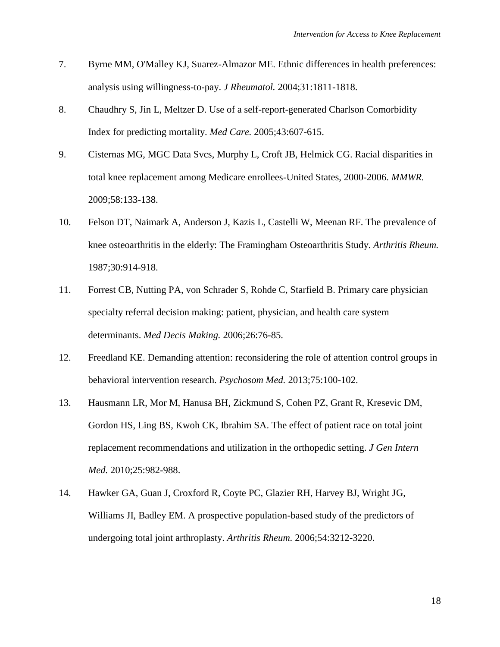- <span id="page-17-3"></span>7. Byrne MM, O'Malley KJ, Suarez-Almazor ME. Ethnic differences in health preferences: analysis using willingness-to-pay. *J Rheumatol.* 2004;31:1811-1818.
- <span id="page-17-7"></span>8. Chaudhry S, Jin L, Meltzer D. Use of a self-report-generated Charlson Comorbidity Index for predicting mortality. *Med Care.* 2005;43:607-615.
- <span id="page-17-0"></span>9. Cisternas MG, MGC Data Svcs, Murphy L, Croft JB, Helmick CG. Racial disparities in total knee replacement among Medicare enrollees-United States, 2000-2006. *MMWR.* 2009;58:133-138.
- <span id="page-17-1"></span>10. Felson DT, Naimark A, Anderson J, Kazis L, Castelli W, Meenan RF. The prevalence of knee osteoarthritis in the elderly: The Framingham Osteoarthritis Study. *Arthritis Rheum.*  1987;30:914-918.
- <span id="page-17-2"></span>11. Forrest CB, Nutting PA, von Schrader S, Rohde C, Starfield B. Primary care physician specialty referral decision making: patient, physician, and health care system determinants. *Med Decis Making.* 2006;26:76-85.
- <span id="page-17-4"></span>12. Freedland KE. Demanding attention: reconsidering the role of attention control groups in behavioral intervention research. *Psychosom Med.* 2013;75:100-102.
- <span id="page-17-5"></span>13. Hausmann LR, Mor M, Hanusa BH, Zickmund S, Cohen PZ, Grant R, Kresevic DM, Gordon HS, Ling BS, Kwoh CK, Ibrahim SA. The effect of patient race on total joint replacement recommendations and utilization in the orthopedic setting. *J Gen Intern Med.* 2010;25:982-988.
- <span id="page-17-6"></span>14. Hawker GA, Guan J, Croxford R, Coyte PC, Glazier RH, Harvey BJ, Wright JG, Williams JI, Badley EM. A prospective population-based study of the predictors of undergoing total joint arthroplasty. *Arthritis Rheum.* 2006;54:3212-3220.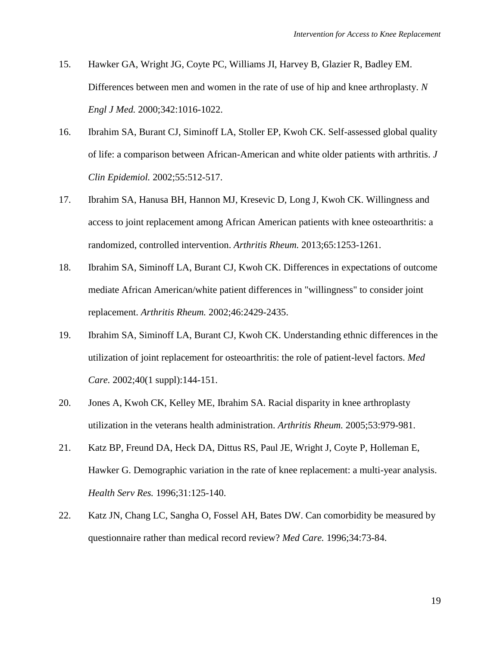- <span id="page-18-6"></span>15. Hawker GA, Wright JG, Coyte PC, Williams JI, Harvey B, Glazier R, Badley EM. Differences between men and women in the rate of use of hip and knee arthroplasty. *N Engl J Med.* 2000;342:1016-1022.
- <span id="page-18-1"></span>16. Ibrahim SA, Burant CJ, Siminoff LA, Stoller EP, Kwoh CK. Self-assessed global quality of life: a comparison between African-American and white older patients with arthritis. *J Clin Epidemiol.* 2002;55:512-517.
- <span id="page-18-5"></span>17. Ibrahim SA, Hanusa BH, Hannon MJ, Kresevic D, Long J, Kwoh CK. Willingness and access to joint replacement among African American patients with knee osteoarthritis: a randomized, controlled intervention. *Arthritis Rheum.* 2013;65:1253-1261.
- <span id="page-18-3"></span>18. Ibrahim SA, Siminoff LA, Burant CJ, Kwoh CK. Differences in expectations of outcome mediate African American/white patient differences in "willingness" to consider joint replacement. *Arthritis Rheum.* 2002;46:2429-2435.
- <span id="page-18-4"></span>19. Ibrahim SA, Siminoff LA, Burant CJ, Kwoh CK. Understanding ethnic differences in the utilization of joint replacement for osteoarthritis: the role of patient-level factors. *Med Care.* 2002;40(1 suppl):144-151.
- <span id="page-18-2"></span>20. Jones A, Kwoh CK, Kelley ME, Ibrahim SA. Racial disparity in knee arthroplasty utilization in the veterans health administration. *Arthritis Rheum.* 2005;53:979-981.
- <span id="page-18-0"></span>21. Katz BP, Freund DA, Heck DA, Dittus RS, Paul JE, Wright J, Coyte P, Holleman E, Hawker G. Demographic variation in the rate of knee replacement: a multi-year analysis. *Health Serv Res.* 1996;31:125-140.
- <span id="page-18-7"></span>22. Katz JN, Chang LC, Sangha O, Fossel AH, Bates DW. Can comorbidity be measured by questionnaire rather than medical record review? *Med Care.* 1996;34:73-84.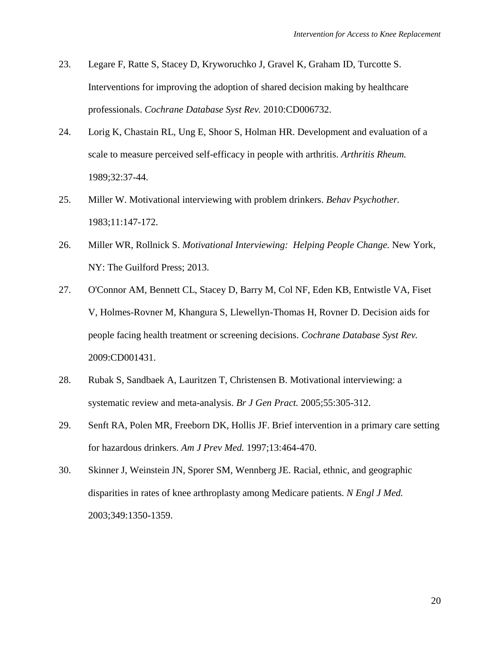- <span id="page-19-1"></span>23. Legare F, Ratte S, Stacey D, Kryworuchko J, Gravel K, Graham ID, Turcotte S. Interventions for improving the adoption of shared decision making by healthcare professionals. *Cochrane Database Syst Rev.* 2010:CD006732.
- <span id="page-19-7"></span>24. Lorig K, Chastain RL, Ung E, Shoor S, Holman HR. Development and evaluation of a scale to measure perceived self-efficacy in people with arthritis. *Arthritis Rheum.*  1989;32:37-44.
- <span id="page-19-6"></span>25. Miller W. Motivational interviewing with problem drinkers. *Behav Psychother.*  1983;11:147-172.
- <span id="page-19-5"></span>26. Miller WR, Rollnick S. *Motivational Interviewing: Helping People Change.* New York, NY: The Guilford Press; 2013.
- <span id="page-19-2"></span>27. O'Connor AM, Bennett CL, Stacey D, Barry M, Col NF, Eden KB, Entwistle VA, Fiset V, Holmes-Rovner M, Khangura S, Llewellyn-Thomas H, Rovner D. Decision aids for people facing health treatment or screening decisions. *Cochrane Database Syst Rev.*  2009:CD001431.
- <span id="page-19-3"></span>28. Rubak S, Sandbaek A, Lauritzen T, Christensen B. Motivational interviewing: a systematic review and meta-analysis. *Br J Gen Pract.* 2005;55:305-312.
- <span id="page-19-4"></span>29. Senft RA, Polen MR, Freeborn DK, Hollis JF. Brief intervention in a primary care setting for hazardous drinkers. *Am J Prev Med.* 1997;13:464-470.
- <span id="page-19-0"></span>30. Skinner J, Weinstein JN, Sporer SM, Wennberg JE. Racial, ethnic, and geographic disparities in rates of knee arthroplasty among Medicare patients. *N Engl J Med.*  2003;349:1350-1359.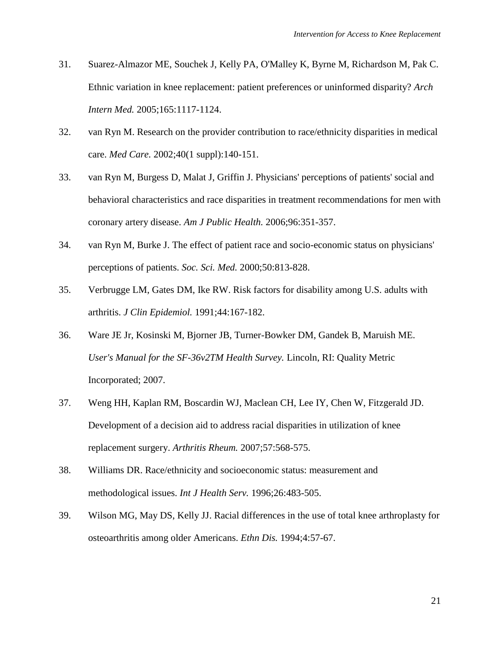- <span id="page-20-2"></span>31. Suarez-Almazor ME, Souchek J, Kelly PA, O'Malley K, Byrne M, Richardson M, Pak C. Ethnic variation in knee replacement: patient preferences or uninformed disparity? *Arch Intern Med.* 2005;165:1117-1124.
- <span id="page-20-8"></span>32. van Ryn M. Research on the provider contribution to race/ethnicity disparities in medical care. *Med Care.* 2002;40(1 suppl):140-151.
- <span id="page-20-6"></span>33. van Ryn M, Burgess D, Malat J, Griffin J. Physicians' perceptions of patients' social and behavioral characteristics and race disparities in treatment recommendations for men with coronary artery disease. *Am J Public Health.* 2006;96:351-357.
- <span id="page-20-7"></span>34. van Ryn M, Burke J. The effect of patient race and socio-economic status on physicians' perceptions of patients. *Soc. Sci. Med.* 2000;50:813-828.
- <span id="page-20-1"></span>35. Verbrugge LM, Gates DM, Ike RW. Risk factors for disability among U.S. adults with arthritis. *J Clin Epidemiol.* 1991;44:167-182.
- <span id="page-20-4"></span>36. Ware JE Jr, Kosinski M, Bjorner JB, Turner-Bowker DM, Gandek B, Maruish ME. *User's Manual for the SF-36v2TM Health Survey.* Lincoln, RI: Quality Metric Incorporated; 2007.
- <span id="page-20-3"></span>37. Weng HH, Kaplan RM, Boscardin WJ, Maclean CH, Lee IY, Chen W, Fitzgerald JD. Development of a decision aid to address racial disparities in utilization of knee replacement surgery. *Arthritis Rheum.* 2007;57:568-575.
- <span id="page-20-5"></span>38. Williams DR. Race/ethnicity and socioeconomic status: measurement and methodological issues. *Int J Health Serv.* 1996;26:483-505.
- <span id="page-20-0"></span>39. Wilson MG, May DS, Kelly JJ. Racial differences in the use of total knee arthroplasty for osteoarthritis among older Americans. *Ethn Dis.* 1994;4:57-67.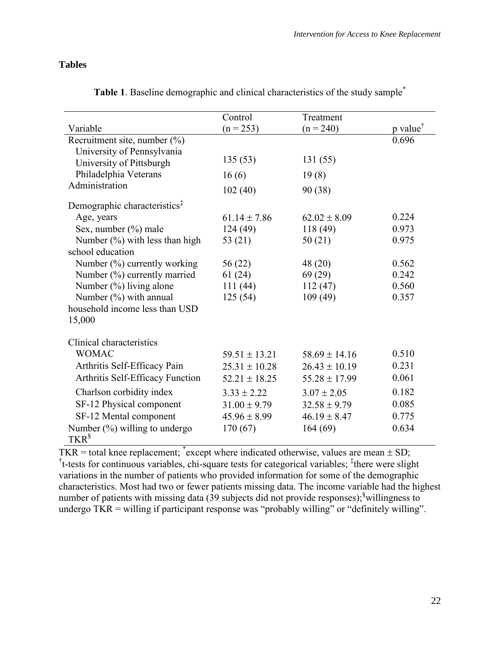# **Tables**

|                                          | Control           | Treatment         |                      |
|------------------------------------------|-------------------|-------------------|----------------------|
| Variable                                 | $(n = 253)$       | $(n = 240)$       | p value <sup>†</sup> |
| Recruitment site, number $(\%)$          |                   |                   | 0.696                |
| University of Pennsylvania               |                   |                   |                      |
| University of Pittsburgh                 | 135(53)           | 131(55)           |                      |
| Philadelphia Veterans                    | 16(6)             | 19(8)             |                      |
| Administration                           | 102(40)           | 90 (38)           |                      |
| Demographic characteristics <sup>‡</sup> |                   |                   |                      |
| Age, years                               | $61.14 \pm 7.86$  | $62.02 \pm 8.09$  | 0.224                |
| Sex, number (%) male                     | 124(49)           | 118(49)           | 0.973                |
| Number $(\%)$ with less than high        | 53 (21)           | 50(21)            | 0.975                |
| school education                         |                   |                   |                      |
| Number $(\%)$ currently working          | 56 (22)           | 48 (20)           | 0.562                |
| Number (%) currently married             | 61(24)            | 69(29)            | 0.242                |
| Number (%) living alone                  | 111(44)           | 112(47)           | 0.560                |
| Number $(\%)$ with annual                | 125(54)           | 109(49)           | 0.357                |
| household income less than USD           |                   |                   |                      |
| 15,000                                   |                   |                   |                      |
| Clinical characteristics                 |                   |                   |                      |
| <b>WOMAC</b>                             | $59.51 \pm 13.21$ | $58.69 \pm 14.16$ | 0.510                |
| Arthritis Self-Efficacy Pain             | $25.31 \pm 10.28$ | $26.43 \pm 10.19$ | 0.231                |
| Arthritis Self-Efficacy Function         | $52.21 \pm 18.25$ | $55.28 \pm 17.99$ | 0.061                |
| Charlson corbidity index                 | $3.33 \pm 2.22$   | $3.07 \pm 2.05$   | 0.182                |
| SF-12 Physical component                 | $31.00 \pm 9.79$  | $32.58 \pm 9.79$  | 0.085                |
| SF-12 Mental component                   | $45.96 \pm 8.99$  | $46.19 \pm 8.47$  | 0.775                |
| Number $(\%)$ willing to undergo         | 170(67)           | 164(69)           | 0.634                |
| TKR <sup>§</sup>                         |                   |                   |                      |

**Table 1**. Baseline demographic and clinical characteristics of the study sample\*

 $TKR =$  total knee replacement;  $*$  except where indicated otherwise, values are mean  $\pm$  SD; <sup>†</sup>t-tests for continuous variables, chi-square tests for categorical variables; <sup>‡</sup>there were slight variations in the number of patients who provided information for some of the demographic characteristics. Most had two or fewer patients missing data. The income variable had the highest number of patients with missing data  $(39$  subjects did not provide responses);<sup>§</sup>willingness to undergo TKR = willing if participant response was "probably willing" or "definitely willing".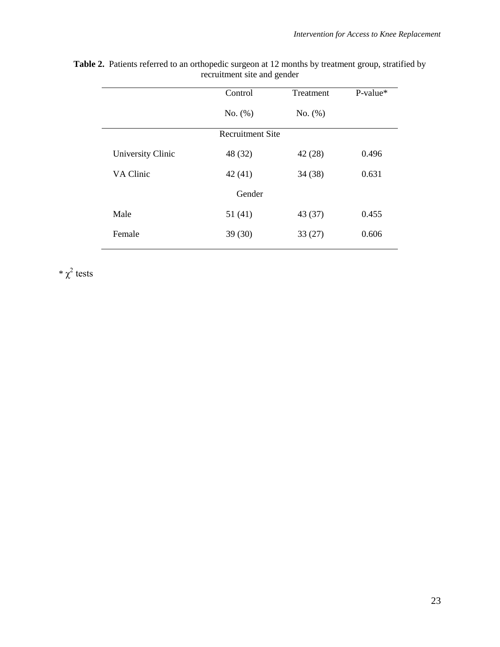|                          | Control | Treatment | $P-value*$ |  |  |  |  |  |
|--------------------------|---------|-----------|------------|--|--|--|--|--|
|                          | No. (%) | No. (%)   |            |  |  |  |  |  |
| <b>Recruitment Site</b>  |         |           |            |  |  |  |  |  |
| <b>University Clinic</b> | 48 (32) | 42(28)    | 0.496      |  |  |  |  |  |
| VA Clinic                | 42(41)  | 34(38)    | 0.631      |  |  |  |  |  |
| Gender                   |         |           |            |  |  |  |  |  |
| Male                     | 51 (41) | 43 (37)   | 0.455      |  |  |  |  |  |
| Female                   | 39(30)  | 33(27)    | 0.606      |  |  |  |  |  |

**Table 2.** Patients referred to an orthopedic surgeon at 12 months by treatment group, stratified by recruitment site and gender

 $*\chi^2$  tests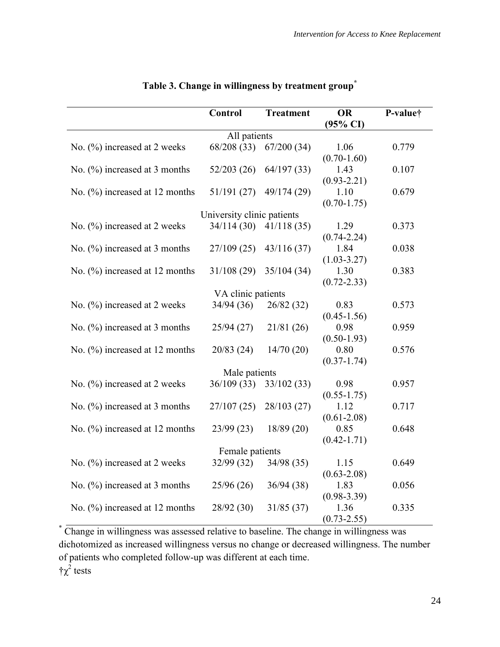|                                   | <b>Control</b>             | <b>Treatment</b> | <b>OR</b>           | P-value† |  |  |
|-----------------------------------|----------------------------|------------------|---------------------|----------|--|--|
|                                   |                            |                  | $(95\% \text{ CI})$ |          |  |  |
| All patients                      |                            |                  |                     |          |  |  |
| No. $(\%)$ increased at 2 weeks   | 68/208(33)                 | 67/200(34)       | 1.06                | 0.779    |  |  |
|                                   |                            |                  | $(0.70 - 1.60)$     |          |  |  |
| No. $(\%)$ increased at 3 months  | 52/203(26)                 | 64/197(33)       | 1.43                | 0.107    |  |  |
|                                   |                            |                  | $(0.93 - 2.21)$     |          |  |  |
| No. $(\%)$ increased at 12 months | 51/191(27)                 | 49/174 (29)      | 1.10                | 0.679    |  |  |
|                                   |                            |                  | $(0.70 - 1.75)$     |          |  |  |
|                                   | University clinic patients |                  |                     |          |  |  |
| No. $(\%)$ increased at 2 weeks   | 34/114(30)                 | 41/118(35)       | 1.29                | 0.373    |  |  |
|                                   |                            |                  | $(0.74 - 2.24)$     |          |  |  |
| No. $(\%)$ increased at 3 months  | 27/109(25)                 | 43/116(37)       | 1.84                | 0.038    |  |  |
|                                   |                            |                  | $(1.03 - 3.27)$     |          |  |  |
| No. $(\%)$ increased at 12 months | 31/108(29)                 | 35/104 (34)      | 1.30                | 0.383    |  |  |
|                                   |                            |                  | $(0.72 - 2.33)$     |          |  |  |
| VA clinic patients                |                            |                  |                     |          |  |  |
| No. $(\%)$ increased at 2 weeks   | 34/94 (36)                 | 26/82(32)        | 0.83                | 0.573    |  |  |
|                                   |                            |                  | $(0.45 - 1.56)$     |          |  |  |
| No. $(\%)$ increased at 3 months  | 25/94(27)                  | 21/81 (26)       | 0.98                | 0.959    |  |  |
|                                   |                            |                  | $(0.50 - 1.93)$     |          |  |  |
| No. $(\%)$ increased at 12 months | 20/83(24)                  | 14/70(20)        | 0.80                | 0.576    |  |  |
|                                   |                            |                  | $(0.37 - 1.74)$     |          |  |  |
| Male patients                     |                            |                  |                     |          |  |  |
| No. $(\%)$ increased at 2 weeks   | 36/109(33)                 | 33/102(33)       | 0.98                | 0.957    |  |  |
|                                   |                            |                  | $(0.55 - 1.75)$     |          |  |  |
| No. $(\%)$ increased at 3 months  | 27/107(25)                 | 28/103(27)       | 1.12                | 0.717    |  |  |
|                                   |                            |                  | $(0.61 - 2.08)$     |          |  |  |
| No. $(\%)$ increased at 12 months | 23/99(23)                  | 18/89(20)        | 0.85                | 0.648    |  |  |
|                                   |                            |                  | $(0.42 - 1.71)$     |          |  |  |
|                                   | Female patients            |                  |                     |          |  |  |
| No. $(\%)$ increased at 2 weeks   | 32/99(32)                  | 34/98 (35)       | 1.15                | 0.649    |  |  |
|                                   |                            |                  | $(0.63 - 2.08)$     |          |  |  |
| No. $(\%)$ increased at 3 months  | 25/96(26)                  | 36/94(38)        | 1.83                | 0.056    |  |  |
|                                   |                            |                  | $(0.98 - 3.39)$     |          |  |  |
| No. $(\%)$ increased at 12 months | 28/92(30)                  | 31/85(37)        | 1.36                | 0.335    |  |  |
|                                   |                            |                  | $(0.73 - 2.55)$     |          |  |  |

# **Table 3. Change in willingness by treatment group\***

\* Change in willingness was assessed relative to baseline. The change in willingness was dichotomized as increased willingness versus no change or decreased willingness. The number of patients who completed follow-up was different at each time.  $\dot{\tau} \chi^2$  tests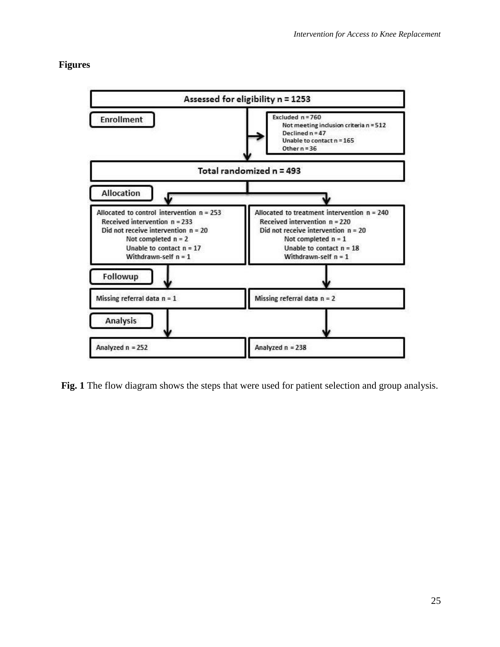# **Figures**



**Fig. 1** The flow diagram shows the steps that were used for patient selection and group analysis.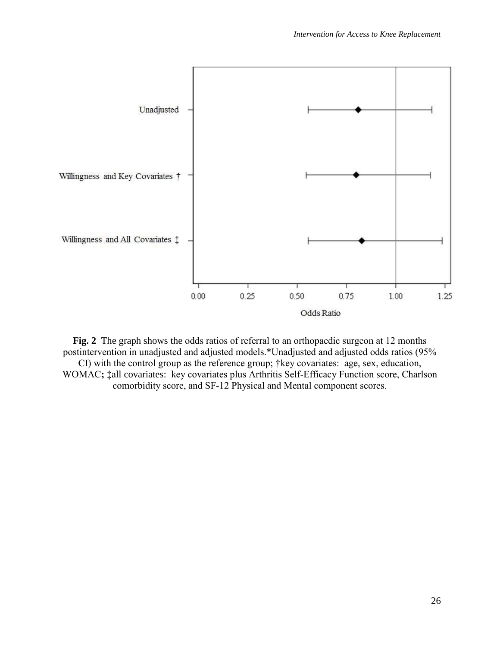

**Fig. 2** The graph shows the odds ratios of referral to an orthopaedic surgeon at 12 months postintervention in unadjusted and adjusted models.\*Unadjusted and adjusted odds ratios (95% CI) with the control group as the reference group; †key covariates: age, sex, education, WOMAC**;** ‡all covariates:key covariates plus Arthritis Self-Efficacy Function score, Charlson comorbidity score, and SF-12 Physical and Mental component scores.